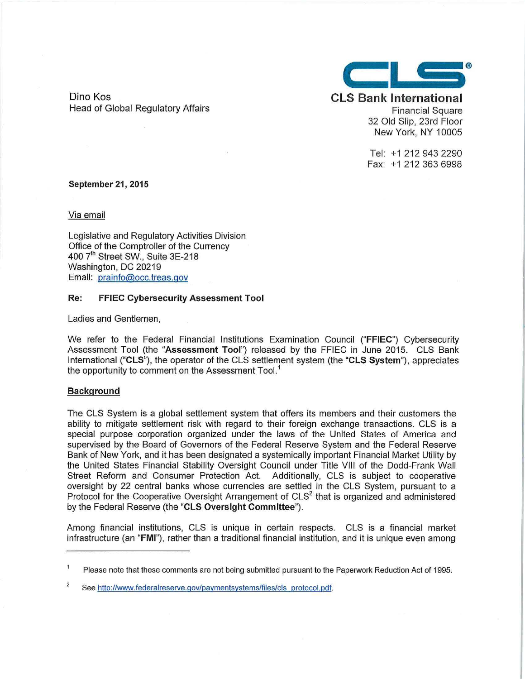

Financial Square 32 Old Slip, 23rd Floor New York, NY 10005

Tel: +1 212 943 2290 Fax: +1 212 363 6998

Dino Kos Head of Global Regulatory Affairs

## **September 21, 2015**

Via email

Legislative and Regulatory Activities Division Office of the Comptroller of the Currency 400 ?'h Street SW., Suite 3E-218 Washington, DC 20219 Email: prainfo@occ.treas.gov

## **Re: FFIEC Cybersecurity Assessment Tool**

Ladies and Gentlemen,

We refer to the Federal Financial Institutions Examination Council **("FFIEC")** Cybersecurity Assessment Tool (the **"Assessment Tool")** released by the FFIEC in June 2015. CLS Bank International **("CLS"),** the operator of the CLS settlement system (the **"CLS System"),** appreciates the opportunity to comment on the Assessment Tool.<sup>1</sup>

## **Background**

The CLS System is a global settlement system that offers its members and their customers the ability to mitigate settlement risk with regard to their foreign exchange transactions. CLS is a special purpose corporation organized under the laws of the United States of America and supervised by the Board of Governors of the Federal Reserve System and the Federal Reserve Bank of New York, and it has been designated a systemically important Financial Market Utility by the United States Financial Stability Oversight Council under Title VIII of the Dodd-Frank Wall Street Reform and Consumer Protection Act. Additionally, CLS is subject to cooperative oversight by 22 central banks whose currencies are settled in the CLS System, pursuant to a Protocol for the Cooperative Oversight Arrangement of CLS<sup>2</sup> that is organized and administered by the Federal Reserve (the **"CLS Oversight Committee").** 

Among financial institutions, CLS is unique in certain respects. CLS is a financial market infrastructure (an **"FMI"),** rather than a traditional financial institution, and it is unique even among

 $\overline{1}$ Please note that these comments are not being submitted pursuant to the Paperwork Reduction Act of 1995.

<sup>&</sup>lt;sup>2</sup> See http://www.federalreserve.gov/paymentsystems/files/cls protocol.pdf.